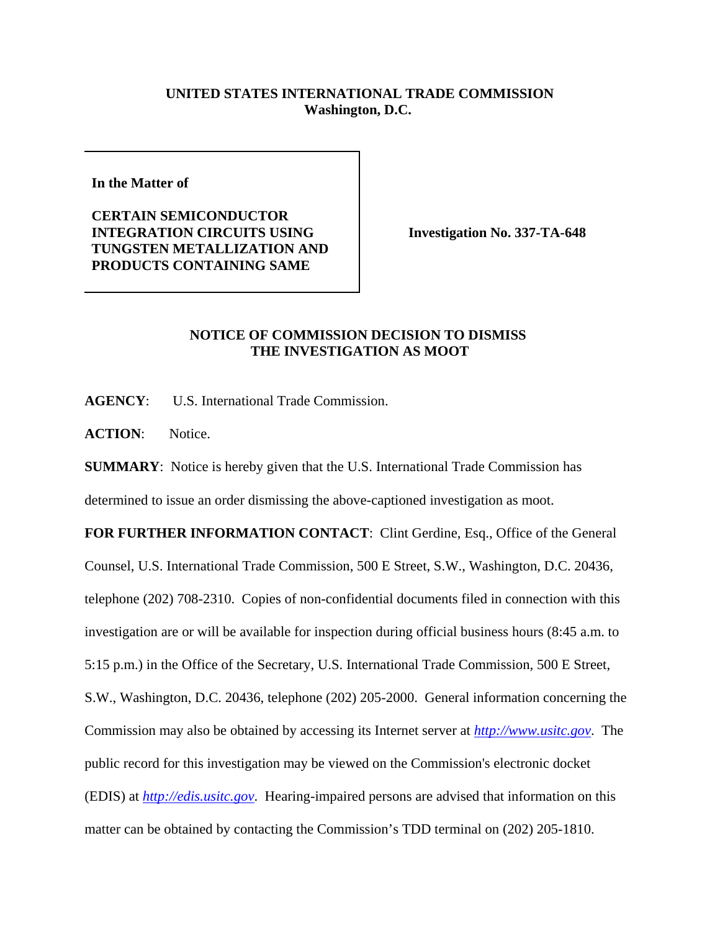## **UNITED STATES INTERNATIONAL TRADE COMMISSION Washington, D.C.**

**In the Matter of** 

**CERTAIN SEMICONDUCTOR INTEGRATION CIRCUITS USING TUNGSTEN METALLIZATION AND PRODUCTS CONTAINING SAME**

**Investigation No. 337-TA-648**

## **NOTICE OF COMMISSION DECISION TO DISMISS THE INVESTIGATION AS MOOT**

**AGENCY**: U.S. International Trade Commission.

**ACTION**: Notice.

**SUMMARY**: Notice is hereby given that the U.S. International Trade Commission has

determined to issue an order dismissing the above-captioned investigation as moot.

FOR FURTHER INFORMATION CONTACT: Clint Gerdine, Esq., Office of the General Counsel, U.S. International Trade Commission, 500 E Street, S.W., Washington, D.C. 20436, telephone (202) 708-2310. Copies of non-confidential documents filed in connection with this investigation are or will be available for inspection during official business hours (8:45 a.m. to 5:15 p.m.) in the Office of the Secretary, U.S. International Trade Commission, 500 E Street, S.W., Washington, D.C. 20436, telephone (202) 205-2000. General information concerning the Commission may also be obtained by accessing its Internet server at *http://www.usitc.gov*. The public record for this investigation may be viewed on the Commission's electronic docket (EDIS) at *http://edis.usitc.gov*. Hearing-impaired persons are advised that information on this matter can be obtained by contacting the Commission's TDD terminal on (202) 205-1810.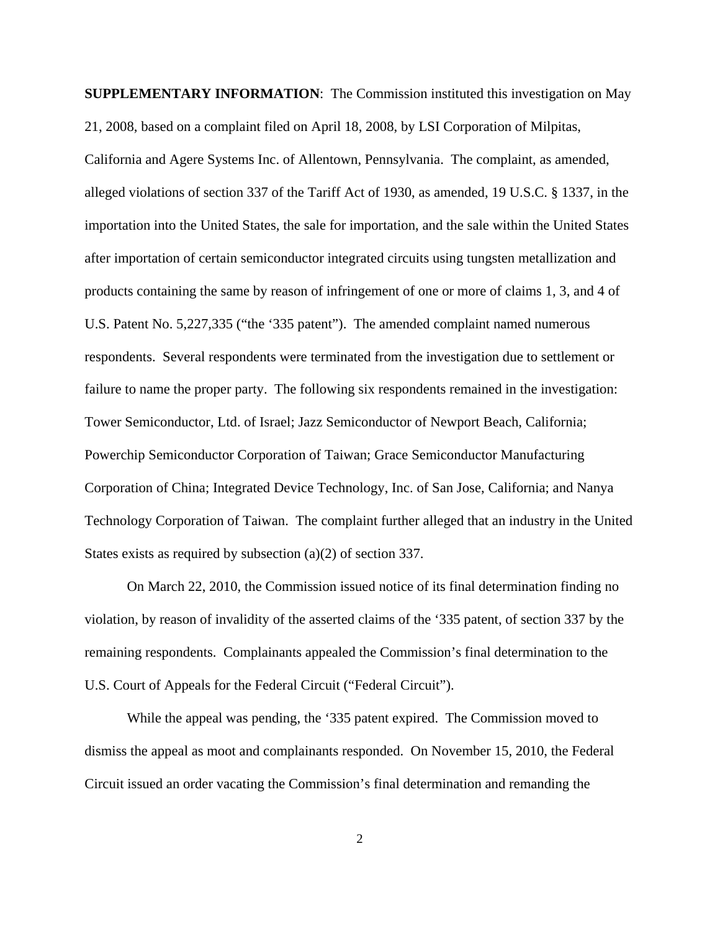**SUPPLEMENTARY INFORMATION**: The Commission instituted this investigation on May 21, 2008, based on a complaint filed on April 18, 2008, by LSI Corporation of Milpitas, California and Agere Systems Inc. of Allentown, Pennsylvania. The complaint, as amended, alleged violations of section 337 of the Tariff Act of 1930, as amended, 19 U.S.C. § 1337, in the importation into the United States, the sale for importation, and the sale within the United States after importation of certain semiconductor integrated circuits using tungsten metallization and products containing the same by reason of infringement of one or more of claims 1, 3, and 4 of U.S. Patent No. 5,227,335 ("the '335 patent"). The amended complaint named numerous respondents. Several respondents were terminated from the investigation due to settlement or failure to name the proper party. The following six respondents remained in the investigation: Tower Semiconductor, Ltd. of Israel; Jazz Semiconductor of Newport Beach, California; Powerchip Semiconductor Corporation of Taiwan; Grace Semiconductor Manufacturing Corporation of China; Integrated Device Technology, Inc. of San Jose, California; and Nanya Technology Corporation of Taiwan. The complaint further alleged that an industry in the United States exists as required by subsection (a)(2) of section 337.

On March 22, 2010, the Commission issued notice of its final determination finding no violation, by reason of invalidity of the asserted claims of the '335 patent, of section 337 by the remaining respondents. Complainants appealed the Commission's final determination to the U.S. Court of Appeals for the Federal Circuit ("Federal Circuit").

While the appeal was pending, the '335 patent expired. The Commission moved to dismiss the appeal as moot and complainants responded. On November 15, 2010, the Federal Circuit issued an order vacating the Commission's final determination and remanding the

2